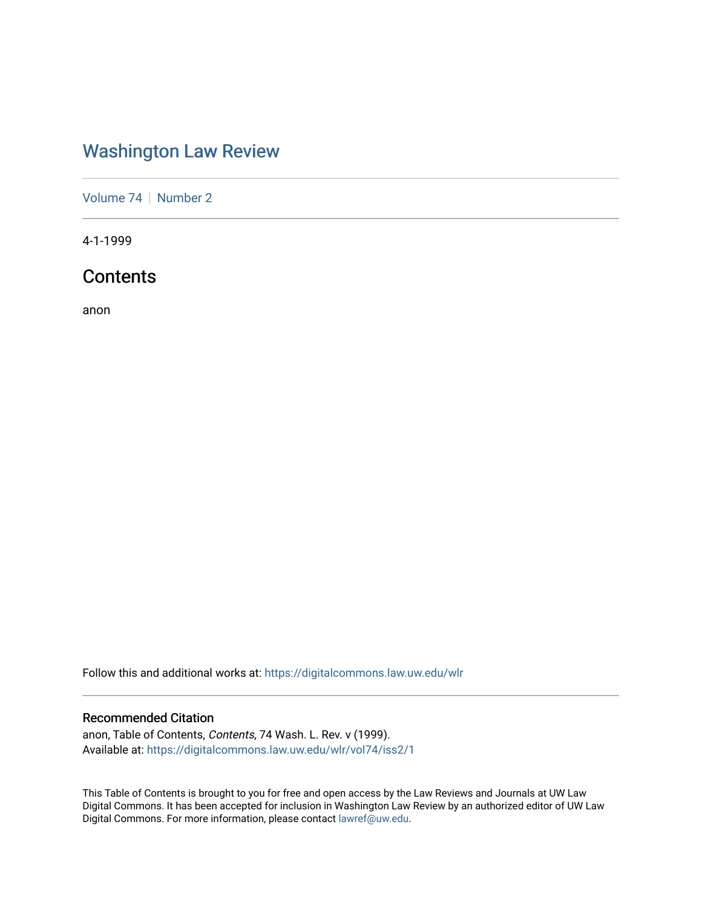### [Washington Law Review](https://digitalcommons.law.uw.edu/wlr)

[Volume 74](https://digitalcommons.law.uw.edu/wlr/vol74) | [Number 2](https://digitalcommons.law.uw.edu/wlr/vol74/iss2)

4-1-1999

### **Contents**

anon

Follow this and additional works at: [https://digitalcommons.law.uw.edu/wlr](https://digitalcommons.law.uw.edu/wlr?utm_source=digitalcommons.law.uw.edu%2Fwlr%2Fvol74%2Fiss2%2F1&utm_medium=PDF&utm_campaign=PDFCoverPages)

### Recommended Citation

anon, Table of Contents, Contents, 74 Wash. L. Rev. v (1999). Available at: [https://digitalcommons.law.uw.edu/wlr/vol74/iss2/1](https://digitalcommons.law.uw.edu/wlr/vol74/iss2/1?utm_source=digitalcommons.law.uw.edu%2Fwlr%2Fvol74%2Fiss2%2F1&utm_medium=PDF&utm_campaign=PDFCoverPages)

This Table of Contents is brought to you for free and open access by the Law Reviews and Journals at UW Law Digital Commons. It has been accepted for inclusion in Washington Law Review by an authorized editor of UW Law Digital Commons. For more information, please contact [lawref@uw.edu.](mailto:lawref@uw.edu)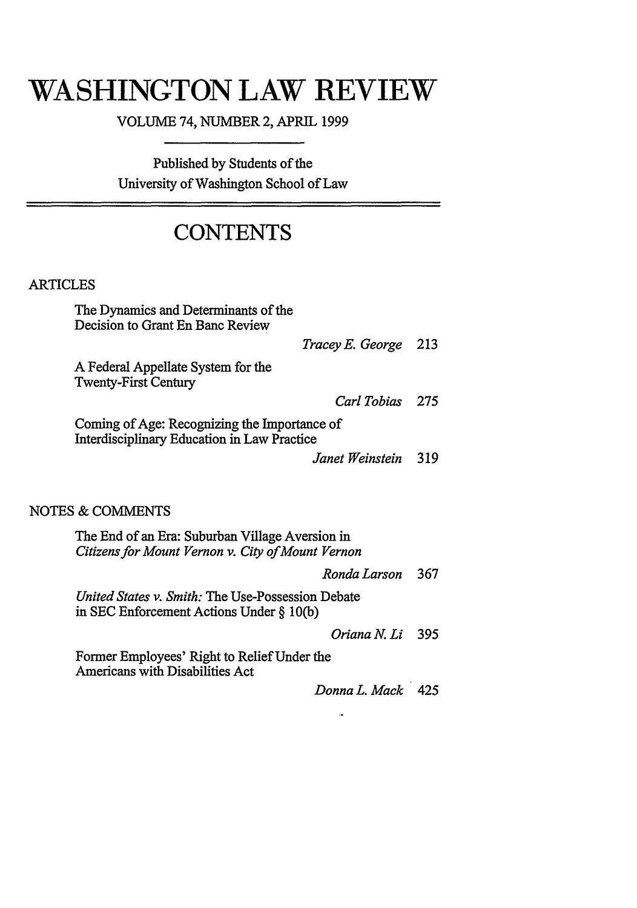# **WASHINGTON LAW REVIEW**

VOLUME 74, NUMBER 2, APRIL 1999

Published by Students of the University of Washington School of Law

## **CONTENTS**

### ARTICLES

The Dynamics and Determinants of the Decision to Grant En Banc Review

*Tracey E. George* 213

A Federal Appellate System for the Twenty-First Century

*Carl Tobias 275*

Coming of Age: Recognizing the Importance of Interdisciplinary Education in Law Practice

*Janet Weinstein* 319

### NOTES & COMMENTS

The End of an Era: Suburban Village Aversion in *Citizens for Mount Vernon v. City ofMount Vernon*

*Ronda Larson* 367

*United States v. Smith:* The Use-Possession Debate in SEC Enforcement Actions Under § **10(b)**

*Oriana N. Li* 395

Former Employees' Right to Relief Under the Americans with Disabilities Act

*Donna L. Mack 425*